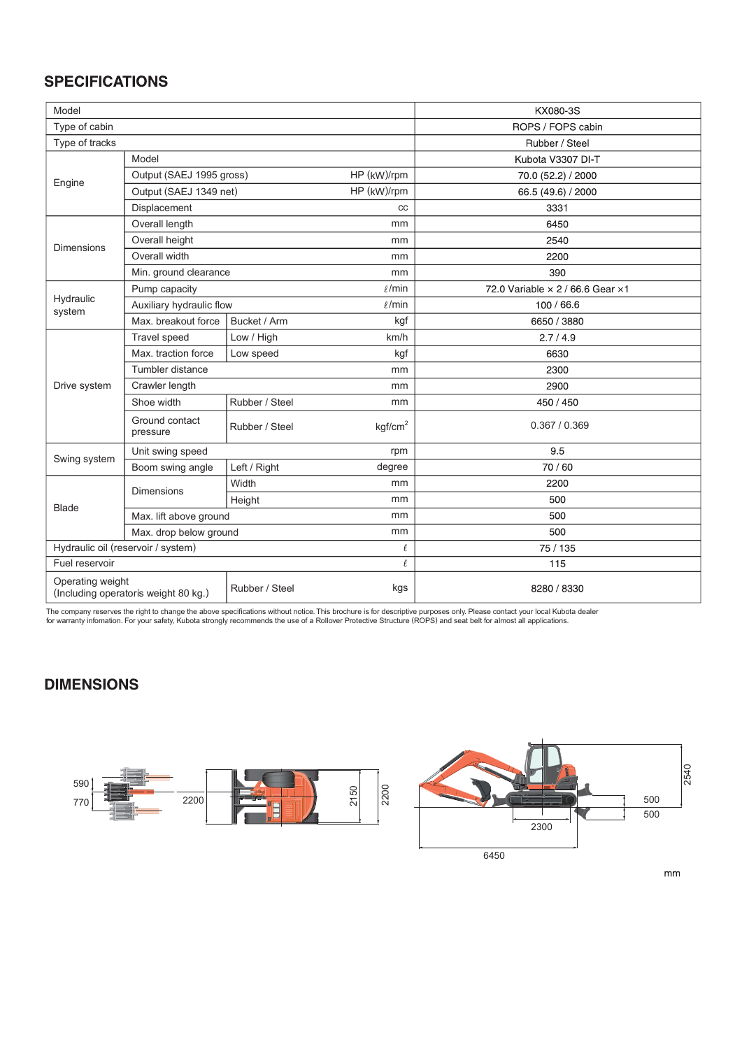## **SPECIFICATIONS**

| Model                                        |                                         |                |                     | KX080-3S                         |  |  |  |
|----------------------------------------------|-----------------------------------------|----------------|---------------------|----------------------------------|--|--|--|
| Type of cabin                                |                                         |                |                     | ROPS / FOPS cabin                |  |  |  |
| Type of tracks                               |                                         |                |                     | Rubber / Steel                   |  |  |  |
| Engine                                       | Model                                   |                |                     | Kubota V3307 DI-T                |  |  |  |
|                                              | Output (SAEJ 1995 gross)<br>HP (kW)/rpm |                |                     | 70.0 (52.2) / 2000               |  |  |  |
|                                              | Output (SAEJ 1349 net)                  |                | HP (kW)/rpm         | 66.5 (49.6) / 2000               |  |  |  |
|                                              | Displacement                            |                | cc                  | 3331                             |  |  |  |
| <b>Dimensions</b>                            | Overall length                          |                | mm                  | 6450                             |  |  |  |
|                                              | Overall height                          |                | mm                  | 2540                             |  |  |  |
|                                              | Overall width                           |                | mm                  | 2200                             |  |  |  |
|                                              | Min. ground clearance                   |                | mm                  | 390                              |  |  |  |
| Hydraulic<br>system                          | Pump capacity                           |                | $\ell$ /min         | 72.0 Variable × 2 / 66.6 Gear ×1 |  |  |  |
|                                              | Auxiliary hydraulic flow                |                | $\ell$ /min         | 100 / 66.6                       |  |  |  |
|                                              | Max. breakout force                     | Bucket / Arm   | kgf                 | 6650 / 3880                      |  |  |  |
|                                              | <b>Travel speed</b>                     | Low / High     | km/h                | 2.7/4.9                          |  |  |  |
|                                              | Max. traction force                     | Low speed      | kgf                 | 6630                             |  |  |  |
|                                              | Tumbler distance                        |                | mm                  | 2300                             |  |  |  |
| Drive system                                 | Crawler length                          |                | mm                  | 2900                             |  |  |  |
|                                              | Shoe width                              | Rubber / Steel | mm                  | 450 / 450                        |  |  |  |
|                                              | Ground contact<br>pressure              | Rubber / Steel | kqf/cm <sup>2</sup> | 0.367 / 0.369                    |  |  |  |
|                                              | Unit swing speed                        |                | rpm                 | 9.5                              |  |  |  |
| Swing system                                 | Boom swing angle                        | Left / Right   | degree              | 70/60                            |  |  |  |
|                                              |                                         | Width          | mm                  | 2200                             |  |  |  |
| <b>Blade</b>                                 | <b>Dimensions</b>                       | Height         | mm                  | 500                              |  |  |  |
|                                              | Max. lift above ground                  |                | mm                  | 500                              |  |  |  |
|                                              | Max. drop below ground<br>mm            |                |                     | 500                              |  |  |  |
| Hydraulic oil (reservoir / system)<br>$\ell$ |                                         |                |                     | 75 / 135                         |  |  |  |
| Fuel reservoir<br>$\theta$                   |                                         |                |                     | 115                              |  |  |  |
| Operating weight                             | (Including operatorís weight 80 kg.)    | Rubber / Steel | kgs                 | 8280 / 8330                      |  |  |  |

The company reserves the right to change the above specifications without notice. This brochure is for descriptive purposes only. Please contact your local Kubota dealer<br>for warranty infomation. For your safety, Kubota str

## **DIMENSIONS**





 $\mathsf{mm}$